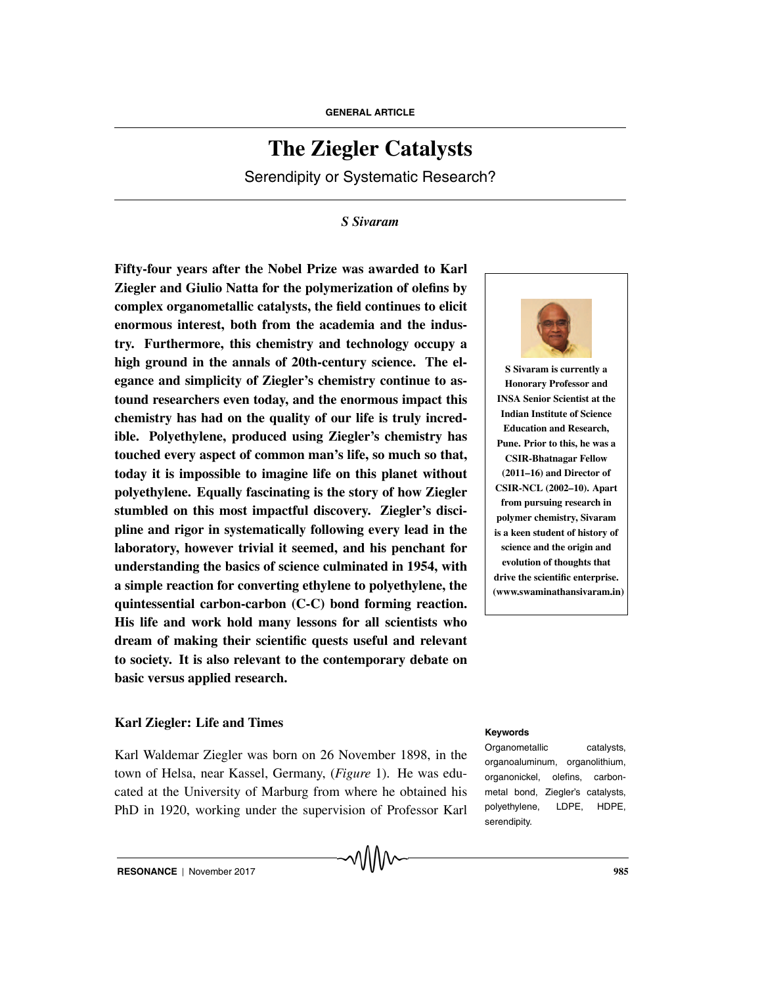# **The Ziegler Catalysts**

Serendipity or Systematic Research?

#### *S Sivaram*

**Fifty-four years after the Nobel Prize was awarded to Karl Ziegler and Giulio Natta for the polymerization of olefins by complex organometallic catalysts, the field continues to elicit enormous interest, both from the academia and the industry. Furthermore, this chemistry and technology occupy a high ground in the annals of 20th-century science. The elegance and simplicity of Ziegler's chemistry continue to astound researchers even today, and the enormous impact this chemistry has had on the quality of our life is truly incredible. Polyethylene, produced using Ziegler's chemistry has touched every aspect of common man's life, so much so that, today it is impossible to imagine life on this planet without polyethylene. Equally fascinating is the story of how Ziegler stumbled on this most impactful discovery. Ziegler's discipline and rigor in systematically following every lead in the laboratory, however trivial it seemed, and his penchant for understanding the basics of science culminated in 1954, with a simple reaction for converting ethylene to polyethylene, the quintessential carbon-carbon (C-C) bond forming reaction. His life and work hold many lessons for all scientists who dream of making their scientific quests useful and relevant to society. It is also relevant to the contemporary debate on basic versus applied research.**

# **Karl Ziegler: Life and Times Keywords**

Karl Waldemar Ziegler was born on 26 November 1898, in the town of Helsa, near Kassel, Germany, (*Figure* 1). He was educated at the University of Marburg from where he obtained his PhD in 1920, working under the supervision of Professor Karl



**S Sivaram is currently a Honorary Professor and INSA Senior Scientist at the Indian Institute of Science Education and Research, Pune. Prior to this, he was a CSIR-Bhatnagar Fellow (2011–16) and Director of CSIR-NCL (2002–10). Apart from pursuing research in polymer chemistry, Sivaram is a keen student of history of science and the origin and evolution of thoughts that drive the scientific enterprise. (www.swaminathansivaram.in)**

Organometallic catalysts, organoaluminum, organolithium, organonickel, olefins, carbonmetal bond, Ziegler's catalysts, polyethylene, LDPE, HDPE, serendipity.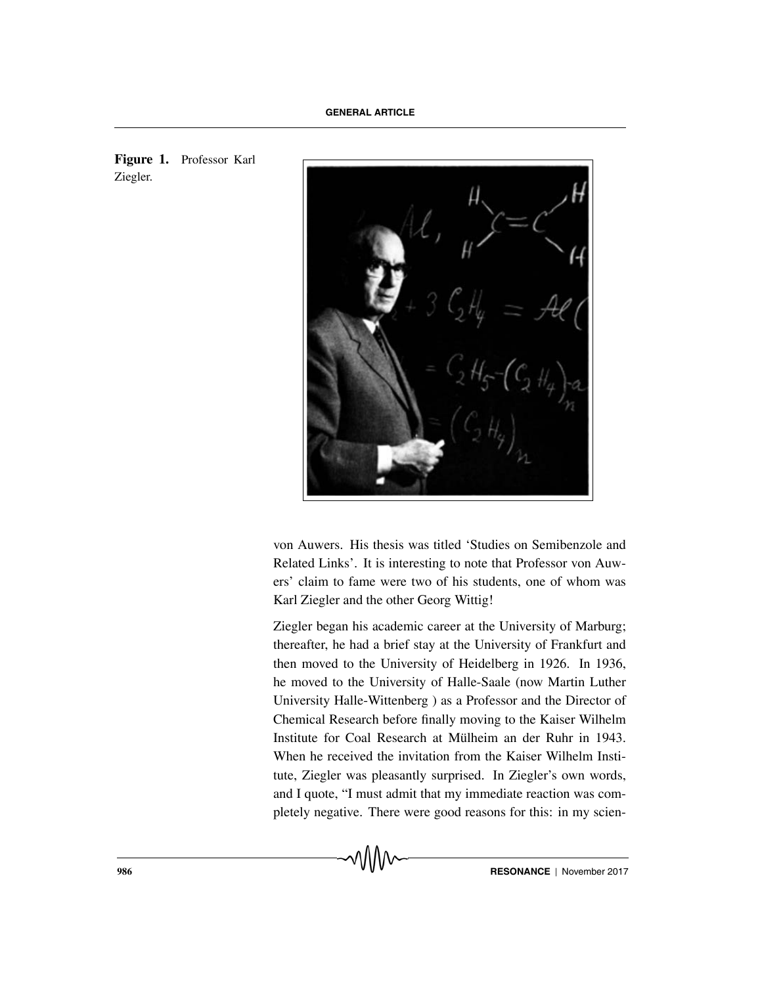



von Auwers. His thesis was titled 'Studies on Semibenzole and Related Links'. It is interesting to note that Professor von Auwers' claim to fame were two of his students, one of whom was Karl Ziegler and the other Georg Wittig!

Ziegler began his academic career at the University of Marburg; thereafter, he had a brief stay at the University of Frankfurt and then moved to the University of Heidelberg in 1926. In 1936, he moved to the University of Halle-Saale (now Martin Luther University Halle-Wittenberg ) as a Professor and the Director of Chemical Research before finally moving to the Kaiser Wilhelm Institute for Coal Research at Mülheim an der Ruhr in 1943. When he received the invitation from the Kaiser Wilhelm Institute, Ziegler was pleasantly surprised. In Ziegler's own words, and I quote, "I must admit that my immediate reaction was completely negative. There were good reasons for this: in my scien-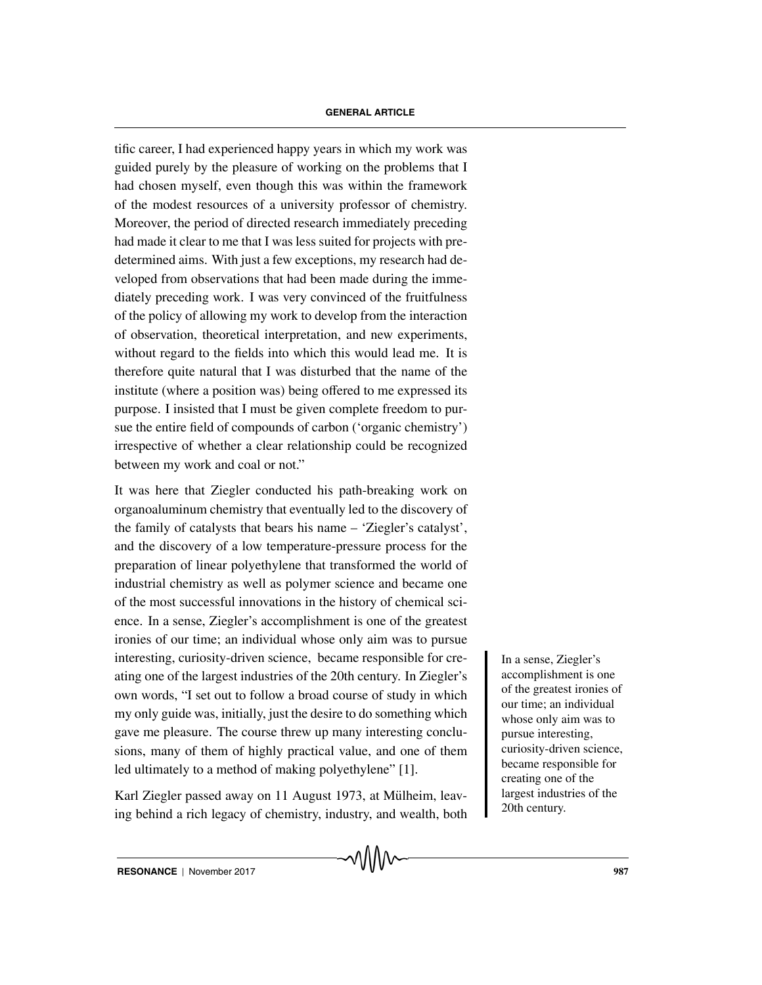tific career, I had experienced happy years in which my work was guided purely by the pleasure of working on the problems that I had chosen myself, even though this was within the framework of the modest resources of a university professor of chemistry. Moreover, the period of directed research immediately preceding had made it clear to me that I was less suited for projects with predetermined aims. With just a few exceptions, my research had developed from observations that had been made during the immediately preceding work. I was very convinced of the fruitfulness of the policy of allowing my work to develop from the interaction of observation, theoretical interpretation, and new experiments, without regard to the fields into which this would lead me. It is therefore quite natural that I was disturbed that the name of the institute (where a position was) being offered to me expressed its purpose. I insisted that I must be given complete freedom to pursue the entire field of compounds of carbon ('organic chemistry') irrespective of whether a clear relationship could be recognized between my work and coal or not."

It was here that Ziegler conducted his path-breaking work on organoaluminum chemistry that eventually led to the discovery of the family of catalysts that bears his name – 'Ziegler's catalyst', and the discovery of a low temperature-pressure process for the preparation of linear polyethylene that transformed the world of industrial chemistry as well as polymer science and became one of the most successful innovations in the history of chemical science. In a sense, Ziegler's accomplishment is one of the greatest ironies of our time; an individual whose only aim was to pursue interesting, curiosity-driven science, became responsible for cre-<br>In a sense, Ziegler's ating one of the largest industries of the 20th century. In Ziegler's own words, "I set out to follow a broad course of study in which my only guide was, initially, just the desire to do something which gave me pleasure. The course threw up many interesting conclusions, many of them of highly practical value, and one of them led ultimately to a method of making polyethylene" [1].

Karl Ziegler passed away on 11 August 1973, at Mülheim, leaving behind a rich legacy of chemistry, industry, and wealth, both accomplishment is one of the greatest ironies of our time; an individual whose only aim was to pursue interesting, curiosity-driven science, became responsible for creating one of the largest industries of the 20th century.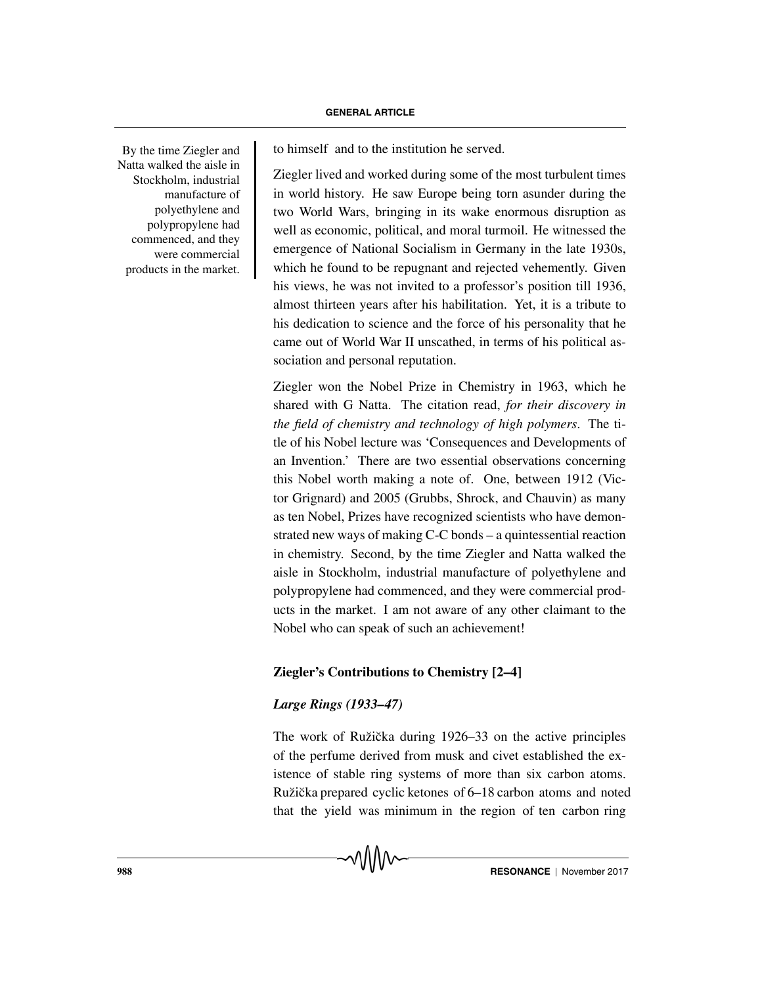By the time Ziegler and Natta walked the aisle in Stockholm, industrial manufacture of polyethylene and polypropylene had commenced, and they were commercial products in the market.

to himself and to the institution he served.

Ziegler lived and worked during some of the most turbulent times in world history. He saw Europe being torn asunder during the two World Wars, bringing in its wake enormous disruption as well as economic, political, and moral turmoil. He witnessed the emergence of National Socialism in Germany in the late 1930s, which he found to be repugnant and rejected vehemently. Given his views, he was not invited to a professor's position till 1936, almost thirteen years after his habilitation. Yet, it is a tribute to his dedication to science and the force of his personality that he came out of World War II unscathed, in terms of his political association and personal reputation.

Ziegler won the Nobel Prize in Chemistry in 1963, which he shared with G Natta. The citation read, *for their discovery in the field of chemistry and technology of high polymers*. The title of his Nobel lecture was 'Consequences and Developments of an Invention.' There are two essential observations concerning this Nobel worth making a note of. One, between 1912 (Victor Grignard) and 2005 (Grubbs, Shrock, and Chauvin) as many as ten Nobel, Prizes have recognized scientists who have demonstrated new ways of making C-C bonds – a quintessential reaction in chemistry. Second, by the time Ziegler and Natta walked the aisle in Stockholm, industrial manufacture of polyethylene and polypropylene had commenced, and they were commercial products in the market. I am not aware of any other claimant to the Nobel who can speak of such an achievement!

### **Ziegler's Contributions to Chemistry [2–4]**

#### *Large Rings (1933–47)*

The work of Ružička during 1926–33 on the active principles of the perfume derived from musk and civet established the existence of stable ring systems of more than six carbon atoms. Ružička prepared cyclic ketones of 6–18 carbon atoms and noted that the yield was minimum in the region of ten carbon ring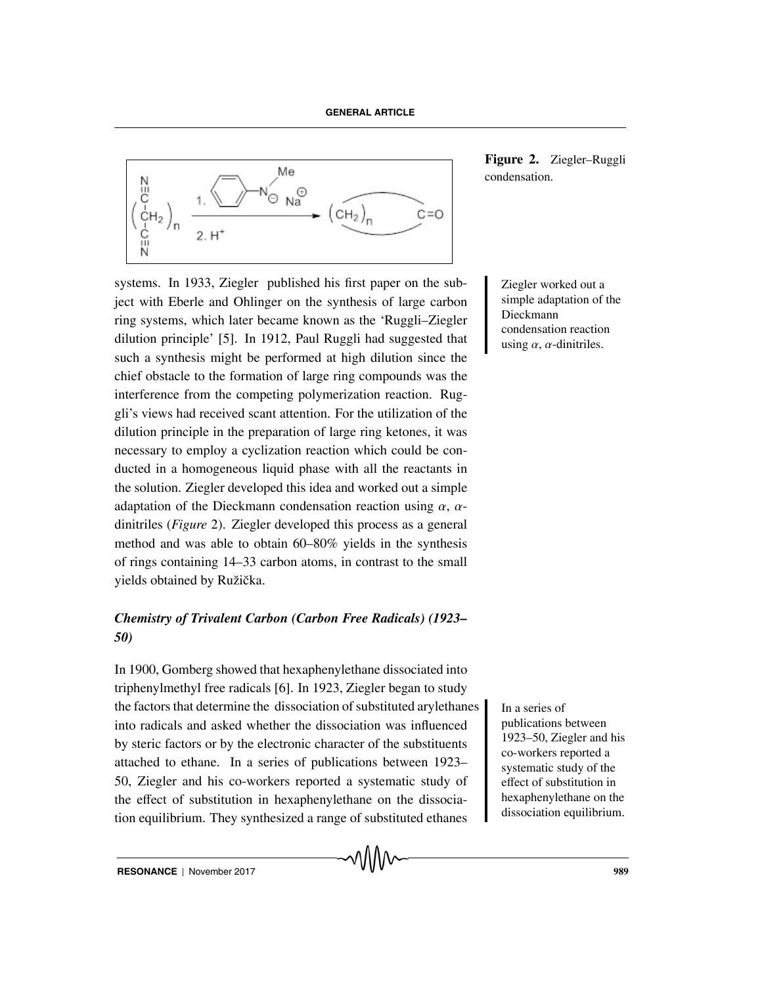

systems. In 1933, Ziegler published his first paper on the sub-<br>
Ziegler worked out a ject with Eberle and Ohlinger on the synthesis of large carbon ring systems, which later became known as the 'Ruggli–Ziegler dilution principle' [5]. In 1912, Paul Ruggli had suggested that such a synthesis might be performed at high dilution since the chief obstacle to the formation of large ring compounds was the interference from the competing polymerization reaction. Ruggli's views had received scant attention. For the utilization of the dilution principle in the preparation of large ring ketones, it was necessary to employ a cyclization reaction which could be conducted in a homogeneous liquid phase with all the reactants in the solution. Ziegler developed this idea and worked out a simple adaptation of the Dieckmann condensation reaction using  $\alpha$ ,  $\alpha$ dinitriles (*Figure* 2). Ziegler developed this process as a general method and was able to obtain 60–80% yields in the synthesis of rings containing 14–33 carbon atoms, in contrast to the small yields obtained by Ružička.

# *Chemistry of Trivalent Carbon (Carbon Free Radicals) (1923– 50)*

In 1900, Gomberg showed that hexaphenylethane dissociated into triphenylmethyl free radicals [6]. In 1923, Ziegler began to study the factors that determine the dissociation of substituted arylethanes I a series of into radicals and asked whether the dissociation was influenced by steric factors or by the electronic character of the substituents attached to ethane. In a series of publications between 1923– 50, Ziegler and his co-workers reported a systematic study of the effect of substitution in hexaphenylethane on the dissociation equilibrium. They synthesized a range of substituted ethanes

**Figure 2.** Ziegler–Ruggli condensation.

simple adaptation of the Dieckmann condensation reaction using  $\alpha$ ,  $\alpha$ -dinitriles.

publications between 1923–50, Ziegler and his co-workers reported a systematic study of the effect of substitution in hexaphenylethane on the dissociation equilibrium.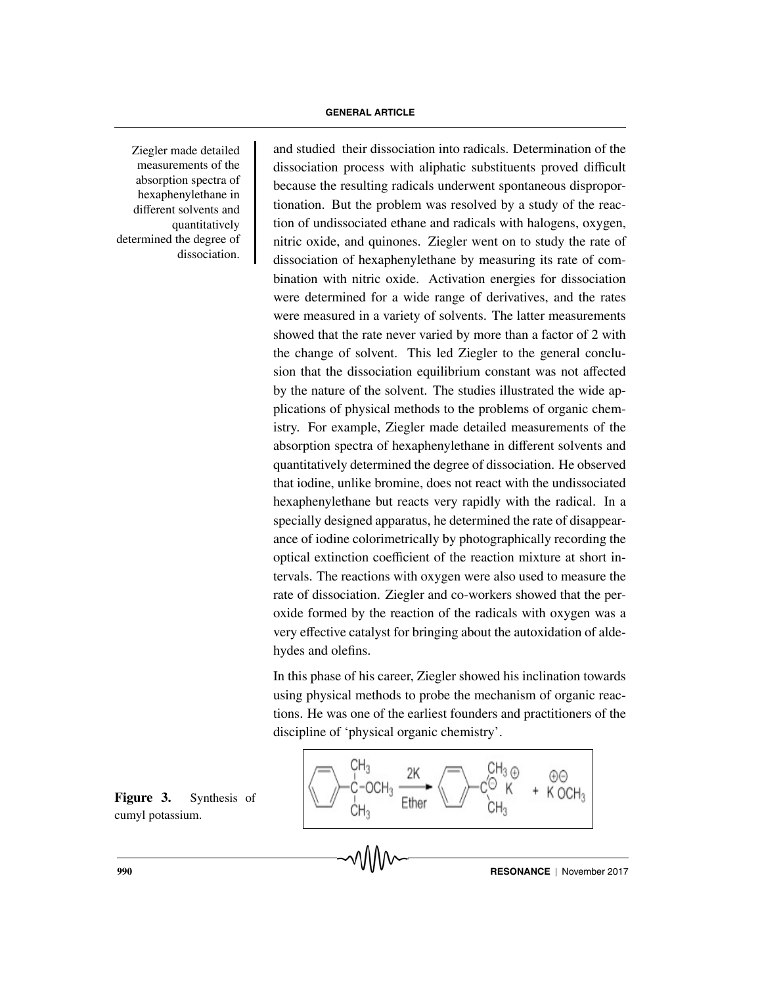Ziegler made detailed measurements of the absorption spectra of hexaphenylethane in different solvents and quantitatively determined the degree of dissociation.

and studied their dissociation into radicals. Determination of the dissociation process with aliphatic substituents proved difficult because the resulting radicals underwent spontaneous disproportionation. But the problem was resolved by a study of the reaction of undissociated ethane and radicals with halogens, oxygen, nitric oxide, and quinones. Ziegler went on to study the rate of dissociation of hexaphenylethane by measuring its rate of combination with nitric oxide. Activation energies for dissociation were determined for a wide range of derivatives, and the rates were measured in a variety of solvents. The latter measurements showed that the rate never varied by more than a factor of 2 with the change of solvent. This led Ziegler to the general conclusion that the dissociation equilibrium constant was not affected by the nature of the solvent. The studies illustrated the wide applications of physical methods to the problems of organic chemistry. For example, Ziegler made detailed measurements of the absorption spectra of hexaphenylethane in different solvents and quantitatively determined the degree of dissociation. He observed that iodine, unlike bromine, does not react with the undissociated hexaphenylethane but reacts very rapidly with the radical. In a specially designed apparatus, he determined the rate of disappearance of iodine colorimetrically by photographically recording the optical extinction coefficient of the reaction mixture at short intervals. The reactions with oxygen were also used to measure the rate of dissociation. Ziegler and co-workers showed that the peroxide formed by the reaction of the radicals with oxygen was a very effective catalyst for bringing about the autoxidation of aldehydes and olefins.

In this phase of his career, Ziegler showed his inclination towards using physical methods to probe the mechanism of organic reactions. He was one of the earliest founders and practitioners of the discipline of 'physical organic chemistry'.



**Figure 3.** Synthesis of cumyl potassium.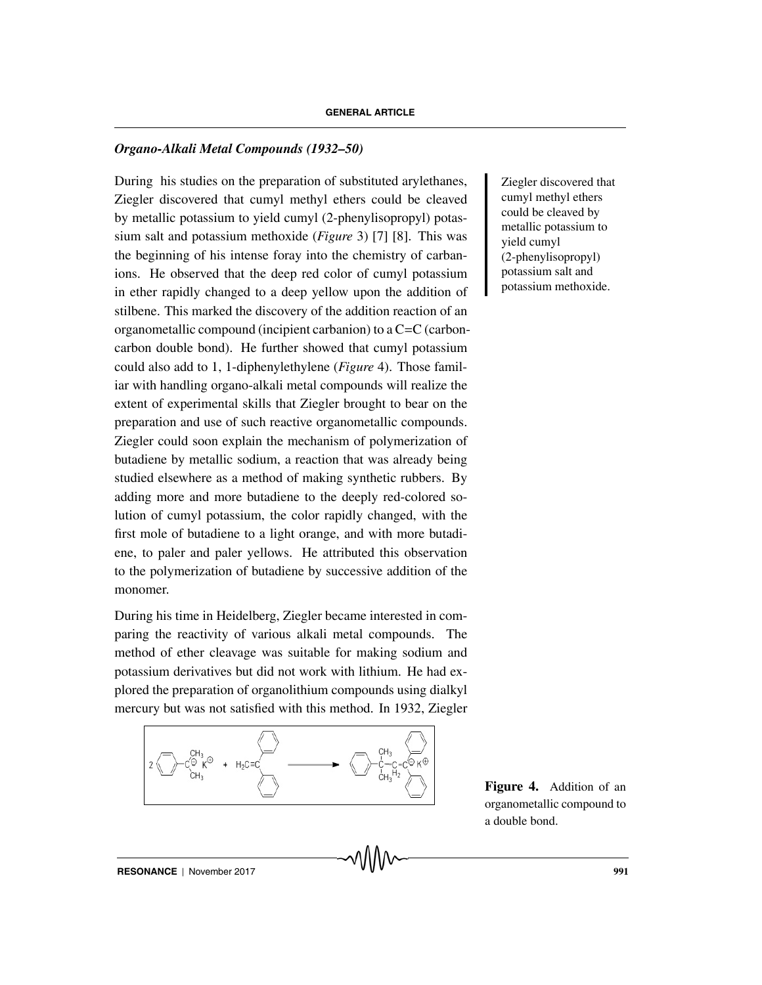#### *Organo-Alkali Metal Compounds (1932–50)*

During Ziegler discovered that his studies on the preparation of substituted arylethanes, Ziegler discovered that cumyl methyl ethers could be cleaved by metallic potassium to yield cumyl (2-phenylisopropyl) potassium salt and potassium methoxide (*Figure* 3) [7] [8]. This was the beginning of his intense foray into the chemistry of carbanions. He observed that the deep red color of cumyl potassium in ether rapidly changed to a deep yellow upon the addition of stilbene. This marked the discovery of the addition reaction of an organometallic compound (incipient carbanion) to a C=C (carboncarbon double bond). He further showed that cumyl potassium could also add to 1, 1-diphenylethylene (*Figure* 4). Those familiar with handling organo-alkali metal compounds will realize the extent of experimental skills that Ziegler brought to bear on the preparation and use of such reactive organometallic compounds. Ziegler could soon explain the mechanism of polymerization of butadiene by metallic sodium, a reaction that was already being studied elsewhere as a method of making synthetic rubbers. By adding more and more butadiene to the deeply red-colored solution of cumyl potassium, the color rapidly changed, with the first mole of butadiene to a light orange, and with more butadiene, to paler and paler yellows. He attributed this observation to the polymerization of butadiene by successive addition of the monomer.

During his time in Heidelberg, Ziegler became interested in comparing the reactivity of various alkali metal compounds. The method of ether cleavage was suitable for making sodium and potassium derivatives but did not work with lithium. He had explored the preparation of organolithium compounds using dialkyl mercury but was not satisfied with this method. In 1932, Ziegler



cumyl methyl ethers could be cleaved by metallic potassium to yield cumyl (2-phenylisopropyl) potassium salt and potassium methoxide.

**Figure 4.** Addition of an organometallic compound to a double bond.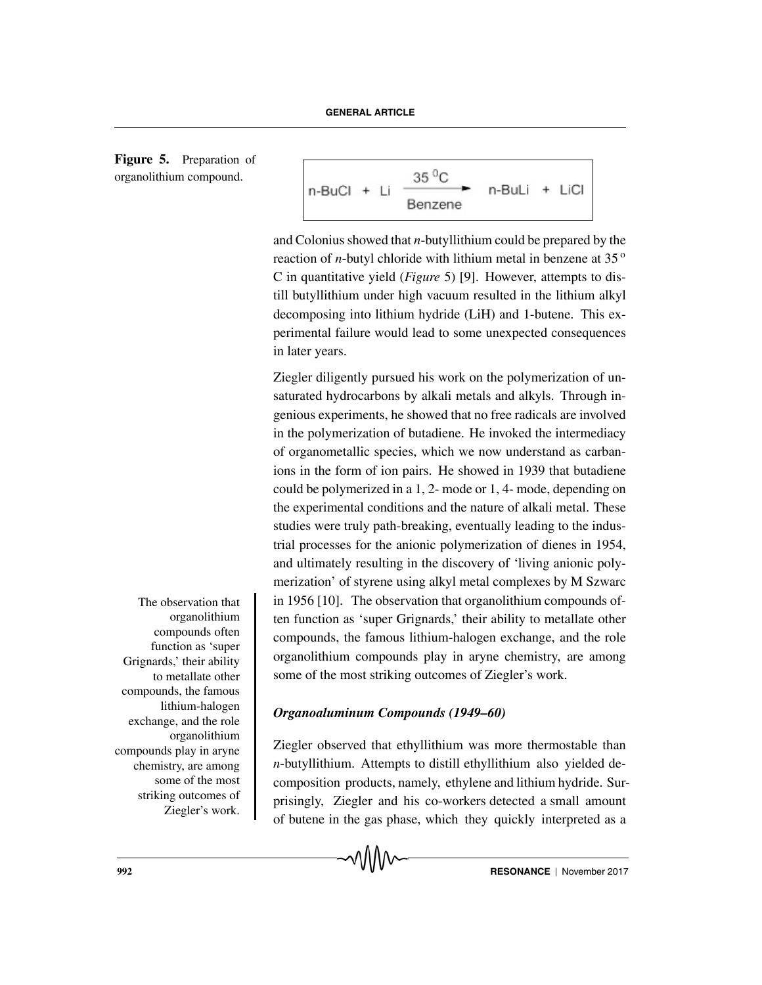**Figure 5.** Preparation of organolithium compound.



and Colonius showed that *n*-butyllithium could be prepared by the reaction of *n*-butyl chloride with lithium metal in benzene at  $35<sup>o</sup>$ C in quantitative yield (*Figure* 5) [9]. However, attempts to distill butyllithium under high vacuum resulted in the lithium alkyl decomposing into lithium hydride (LiH) and 1-butene. This experimental failure would lead to some unexpected consequences in later years.

Ziegler diligently pursued his work on the polymerization of unsaturated hydrocarbons by alkali metals and alkyls. Through ingenious experiments, he showed that no free radicals are involved in the polymerization of butadiene. He invoked the intermediacy of organometallic species, which we now understand as carbanions in the form of ion pairs. He showed in 1939 that butadiene could be polymerized in a 1, 2- mode or 1, 4- mode, depending on the experimental conditions and the nature of alkali metal. These studies were truly path-breaking, eventually leading to the industrial processes for the anionic polymerization of dienes in 1954, and ultimately resulting in the discovery of 'living anionic polymerization' of styrene using alkyl metal complexes by M Szwarc in 1956  $[10]$ . The observation that organolithium compounds often function as 'super Grignards,' their ability to metallate other compounds, the famous lithium-halogen exchange, and the role organolithium compounds play in aryne chemistry, are among some of the most striking outcomes of Ziegler's work.

*Organoaluminum Compounds (1949–60)*

Ziegler observed that ethyllithium was more thermostable than *n*-butyllithium. Attempts to distill ethyllithium also yielded decomposition products, namely, ethylene and lithium hydride. Surprisingly, Ziegler and his co-workers detected a small amount of butene in the gas phase, which they quickly interpreted as a

The observation that organolithium compounds often function as 'super Grignards,' their ability to metallate other compounds, the famous lithium-halogen exchange, and the role organolithium compounds play in aryne chemistry, are among some of the most striking outcomes of Ziegler's work.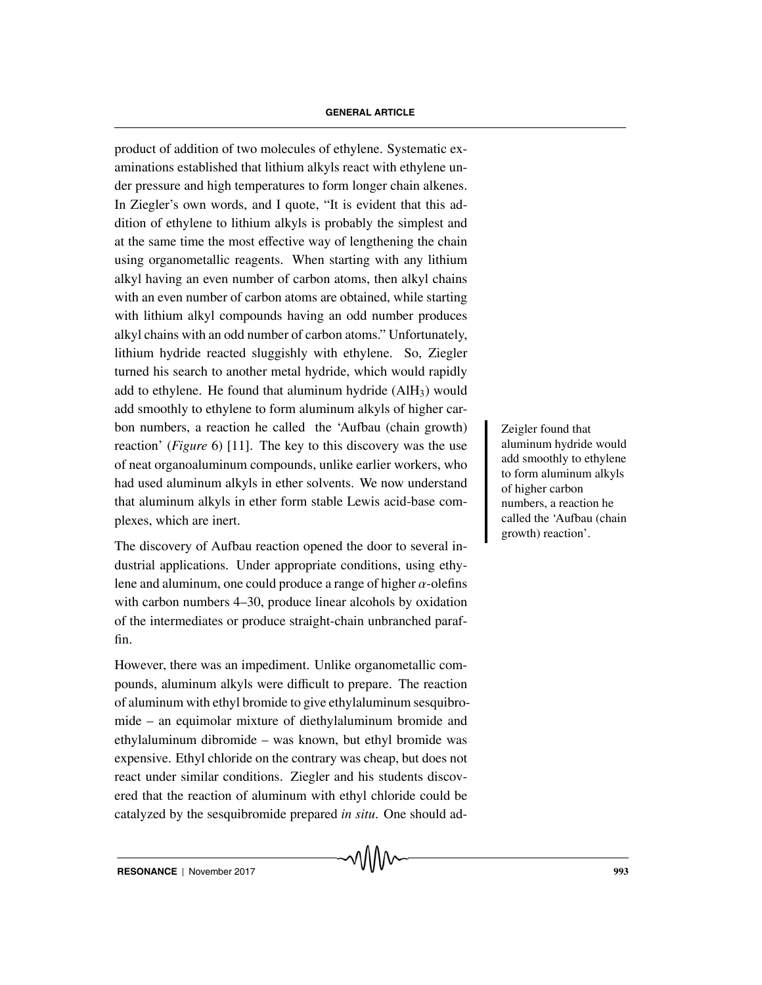product of addition of two molecules of ethylene. Systematic examinations established that lithium alkyls react with ethylene under pressure and high temperatures to form longer chain alkenes. In Ziegler's own words, and I quote, "It is evident that this addition of ethylene to lithium alkyls is probably the simplest and at the same time the most effective way of lengthening the chain using organometallic reagents. When starting with any lithium alkyl having an even number of carbon atoms, then alkyl chains with an even number of carbon atoms are obtained, while starting with lithium alkyl compounds having an odd number produces alkyl chains with an odd number of carbon atoms." Unfortunately, lithium hydride reacted sluggishly with ethylene. So, Ziegler turned his search to another metal hydride, which would rapidly add to ethylene. He found that aluminum hydride  $(AIH<sub>3</sub>)$  would add smoothly to ethylene to form aluminum alkyls of higher carbon numbers, a reaction he called the 'Aufbau (chain growth) Zeigler found that reaction' (*Figure* 6) [11]. The key to this discovery was the use of neat organoaluminum compounds, unlike earlier workers, who had used aluminum alkyls in ether solvents. We now understand that aluminum alkyls in ether form stable Lewis acid-base complexes, which are inert.

The discovery of Aufbau reaction opened the door to several industrial applications. Under appropriate conditions, using ethylene and aluminum, one could produce a range of higher  $\alpha$ -olefins with carbon numbers 4–30, produce linear alcohols by oxidation of the intermediates or produce straight-chain unbranched paraffin.

However, there was an impediment. Unlike organometallic compounds, aluminum alkyls were difficult to prepare. The reaction of aluminum with ethyl bromide to give ethylaluminum sesquibromide – an equimolar mixture of diethylaluminum bromide and ethylaluminum dibromide – was known, but ethyl bromide was expensive. Ethyl chloride on the contrary was cheap, but does not react under similar conditions. Ziegler and his students discovered that the reaction of aluminum with ethyl chloride could be catalyzed by the sesquibromide prepared *in situ*. One should adaluminum hydride would add smoothly to ethylene to form aluminum alkyls of higher carbon numbers, a reaction he called the 'Aufbau (chain growth) reaction'.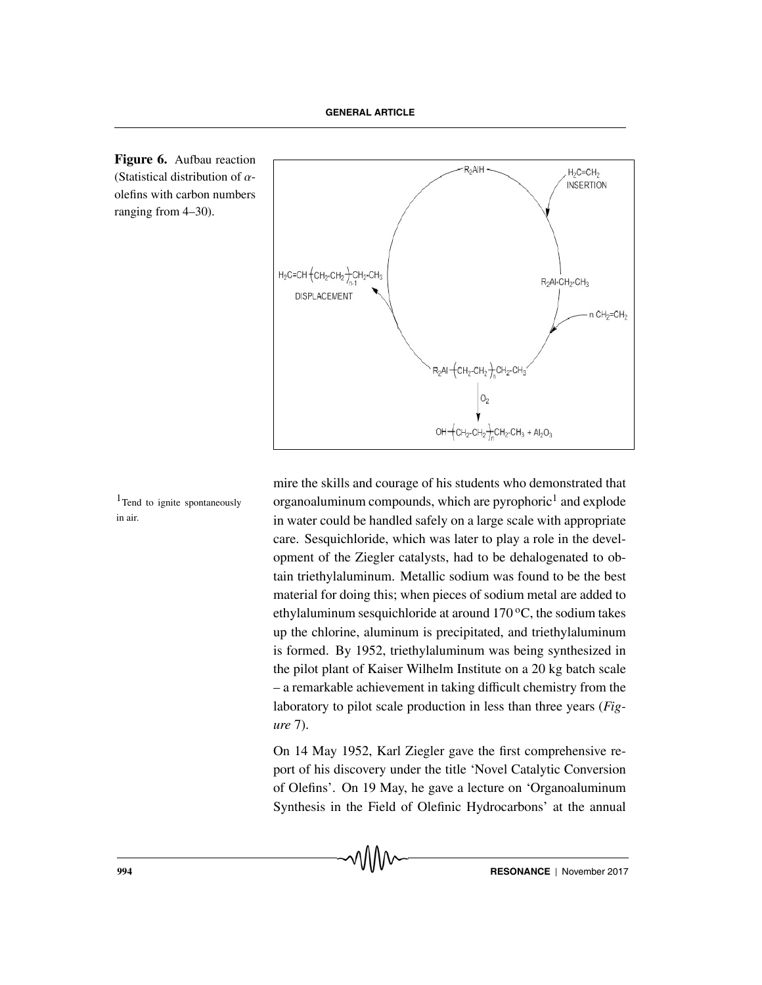



in air.

mire the skills and courage of his students who demonstrated that  $1$ Tend to ignite spontaneously organoaluminum compounds, which are pyrophoric<sup>1</sup> and explode in water could be handled safely on a large scale with appropriate care. Sesquichloride, which was later to play a role in the development of the Ziegler catalysts, had to be dehalogenated to obtain triethylaluminum. Metallic sodium was found to be the best material for doing this; when pieces of sodium metal are added to ethylaluminum sesquichloride at around  $170^{\circ}$ C, the sodium takes up the chlorine, aluminum is precipitated, and triethylaluminum is formed. By 1952, triethylaluminum was being synthesized in the pilot plant of Kaiser Wilhelm Institute on a 20 kg batch scale – a remarkable achievement in taking difficult chemistry from the laboratory to pilot scale production in less than three years (*Figure* 7).

> On 14 May 1952, Karl Ziegler gave the first comprehensive report of his discovery under the title 'Novel Catalytic Conversion of Olefins'. On 19 May, he gave a lecture on 'Organoaluminum Synthesis in the Field of Olefinic Hydrocarbons' at the annual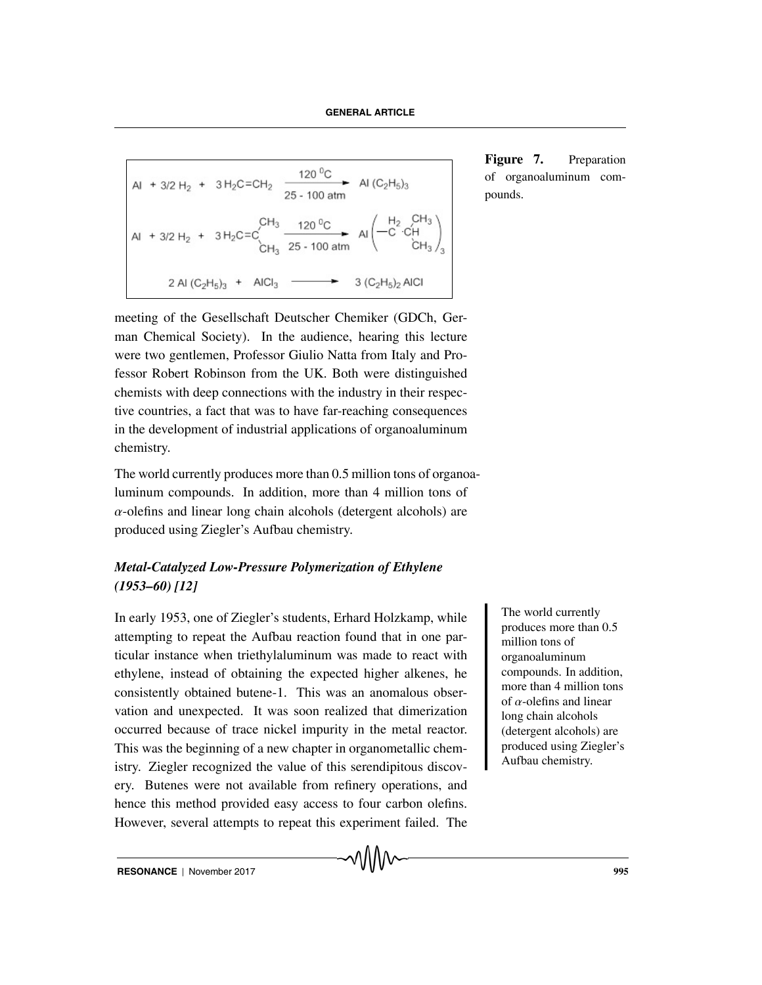Al + 3/2 H<sub>2</sub> + 3 H<sub>2</sub>C=CH<sub>2</sub> 
$$
\xrightarrow{120 ^{0}C} Al (C_{2}H_{5})_{3}
$$
Al + 3/2 H<sub>2</sub> + 3 H<sub>2</sub>C=C<sup>2</sup><sub>13</sub> 
$$
\xrightarrow{120 ^{0}C} Al (C_{2}H_{5})_{3}
$$
Al + 3/2 H<sub>2</sub> + 3 H<sub>2</sub>C=C<sup>2</sup><sub>13</sub> 
$$
\xrightarrow{120 ^{0}C} Al \left(\begin{array}{ccc} H_{2} & CH_{3} \\ -C & CH_{3} \\ CH_{3} \end{array}\right)_{3}
$$
2 Al (C<sub>2</sub>H<sub>5</sub>)<sub>3</sub> + AlCl<sub>3</sub> 
$$
\xrightarrow{2} 3 (C_{2}H_{5})_{2} AlCl
$$

meeting of the Gesellschaft Deutscher Chemiker (GDCh, German Chemical Society). In the audience, hearing this lecture were two gentlemen, Professor Giulio Natta from Italy and Professor Robert Robinson from the UK. Both were distinguished chemists with deep connections with the industry in their respective countries, a fact that was to have far-reaching consequences in the development of industrial applications of organoaluminum chemistry.

The world currently produces more than 0.5 million tons of organoaluminum compounds. In addition, more than 4 million tons of  $\alpha$ -olefins and linear long chain alcohols (detergent alcohols) are produced using Ziegler's Aufbau chemistry.

# *Metal-Catalyzed Low-Pressure Polymerization of Ethylene (1953–60) [12]*

In early 1953, one of Ziegler's students, Erhard Holzkamp, while attempting to repeat the Aufbau reaction found that in one particular instance when triethylaluminum was made to react with ethylene, instead of obtaining the expected higher alkenes, he consistently obtained butene-1. This was an anomalous observation and unexpected. It was soon realized that dimerization occurred because of trace nickel impurity in the metal reactor. This was the beginning of a new chapter in organometallic chemistry. Ziegler recognized the value of this serendipitous discovery. Butenes were not available from refinery operations, and hence this method provided easy access to four carbon olefins. However, several attempts to repeat this experiment failed. The

The world currently produces more than 0.5 million tons of organoaluminum compounds. In addition, more than 4 million tons of  $\alpha$ -olefins and linear long chain alcohols (detergent alcohols) are produced using Ziegler's Aufbau chemistry.

Figure 7. Preparation of organoaluminum compounds.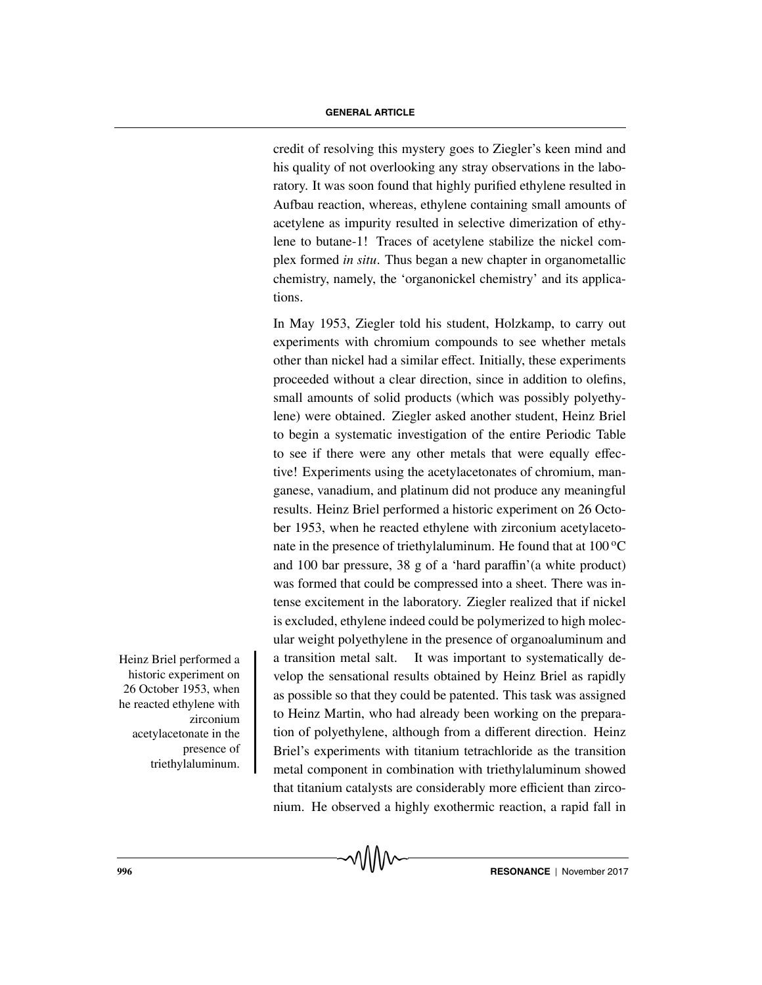credit of resolving this mystery goes to Ziegler's keen mind and his quality of not overlooking any stray observations in the laboratory. It was soon found that highly purified ethylene resulted in Aufbau reaction, whereas, ethylene containing small amounts of acetylene as impurity resulted in selective dimerization of ethylene to butane-1! Traces of acetylene stabilize the nickel complex formed *in situ*. Thus began a new chapter in organometallic chemistry, namely, the 'organonickel chemistry' and its applications.

In May 1953, Ziegler told his student, Holzkamp, to carry out experiments with chromium compounds to see whether metals other than nickel had a similar effect. Initially, these experiments proceeded without a clear direction, since in addition to olefins, small amounts of solid products (which was possibly polyethylene) were obtained. Ziegler asked another student, Heinz Briel to begin a systematic investigation of the entire Periodic Table to see if there were any other metals that were equally effective! Experiments using the acetylacetonates of chromium, manganese, vanadium, and platinum did not produce any meaningful results. Heinz Briel performed a historic experiment on 26 October 1953, when he reacted ethylene with zirconium acetylacetonate in the presence of triethylaluminum. He found that at  $100^{\circ}$ C and 100 bar pressure, 38 g of a 'hard paraffin'(a white product) was formed that could be compressed into a sheet. There was intense excitement in the laboratory. Ziegler realized that if nickel is excluded, ethylene indeed could be polymerized to high molecular weight polyethylene in the presence of organoaluminum and Heinz Briel performed a  $\parallel$  a transition metal salt. It was important to systematically develop the sensational results obtained by Heinz Briel as rapidly as possible so that they could be patented. This task was assigned to Heinz Martin, who had already been working on the preparation of polyethylene, although from a different direction. Heinz Briel's experiments with titanium tetrachloride as the transition metal component in combination with triethylaluminum showed that titanium catalysts are considerably more efficient than zirconium. He observed a highly exothermic reaction, a rapid fall in

historic experiment on 26 October 1953, when he reacted ethylene with zirconium acetylacetonate in the presence of triethylaluminum.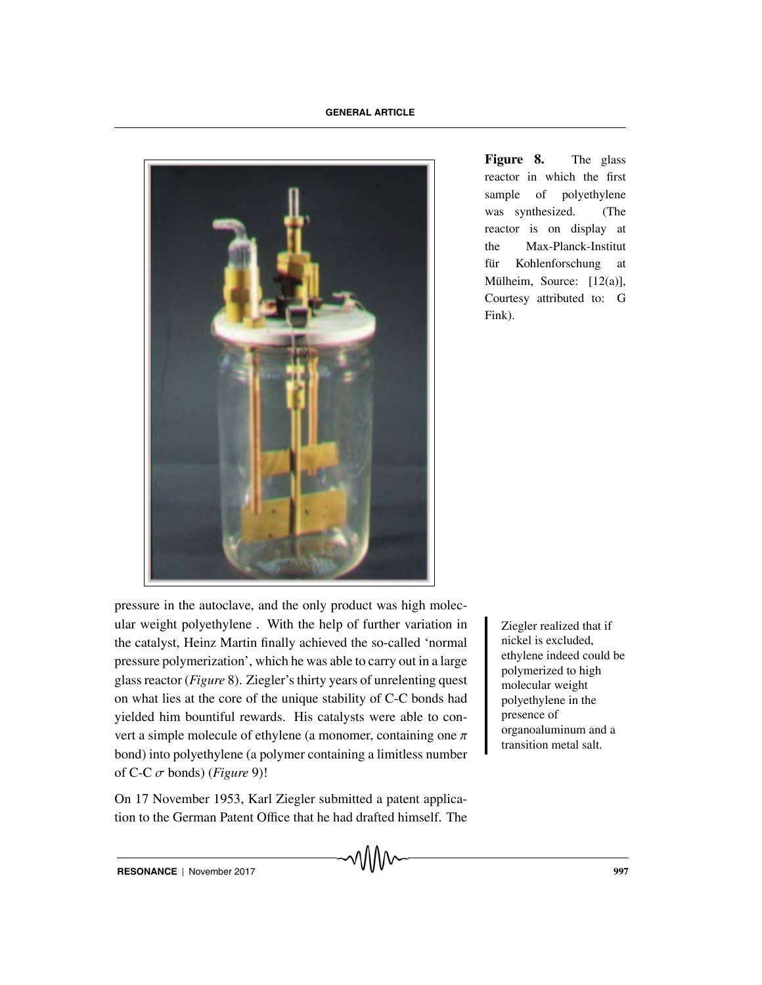

**Figure 8.** The glass reactor in which the first sample of polyethylene was synthesized. (The reactor is on display at the Max-Planck-Institut für Kohlenforschung at Mülheim, Source:  $[12(a)],$ Courtesy attributed to: G Fink).

pressure in the autoclave, and the only product was high molecular weight polyethylene. With the help of further variation in Ziegler realized that if the catalyst, Heinz Martin finally achieved the so-called 'normal pressure polymerization', which he was able to carry out in a large glass reactor (*Figure* 8). Ziegler's thirty years of unrelenting quest on what lies at the core of the unique stability of C-C bonds had yielded him bountiful rewards. His catalysts were able to convert a simple molecule of ethylene (a monomer, containing one  $\pi$ ) bond) into polyethylene (a polymer containing a limitless number of C-C  $\sigma$  bonds) (*Figure* 9)!

On 17 November 1953, Karl Ziegler submitted a patent application to the German Patent Office that he had drafted himself. The nickel is excluded, ethylene indeed could be polymerized to high molecular weight polyethylene in the presence of organoaluminum and a transition metal salt.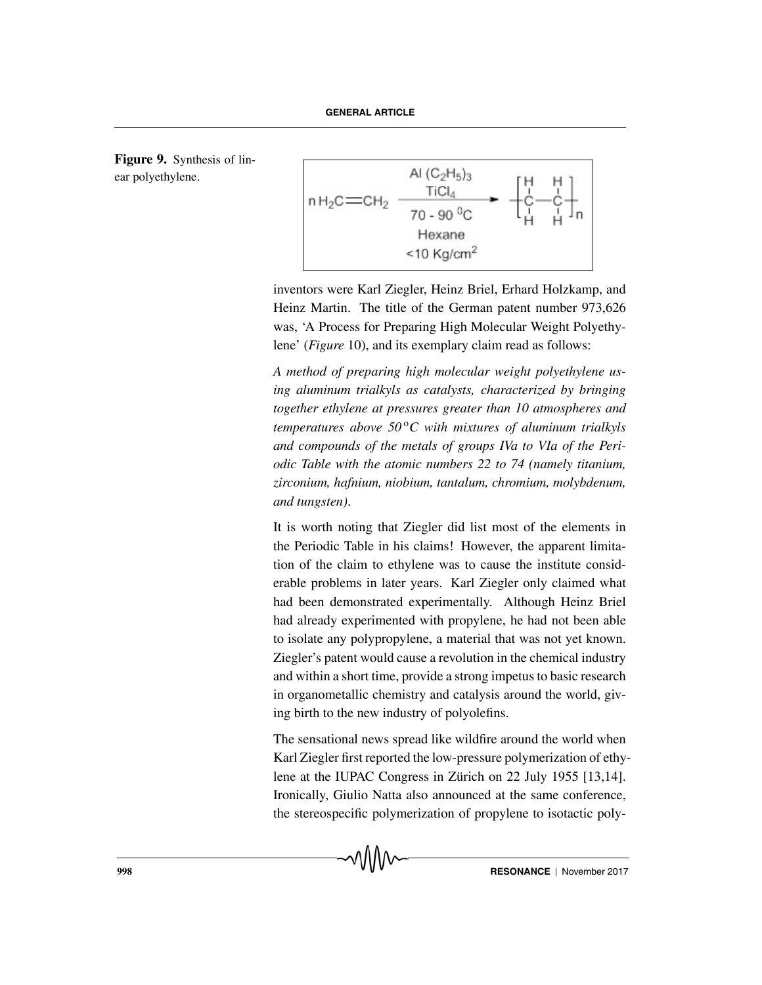**Figure 9.** Synthesis of linear polyethylene.



inventors were Karl Ziegler, Heinz Briel, Erhard Holzkamp, and Heinz Martin. The title of the German patent number 973,626 was, 'A Process for Preparing High Molecular Weight Polyethylene' (*Figure* 10), and its exemplary claim read as follows:

*A method of preparing high molecular weight polyethylene using aluminum trialkyls as catalysts, characterized by bringing together ethylene at pressures greater than 10 atmospheres and temperatures above 50<sup>o</sup>C with mixtures of aluminum trialkyls and compounds of the metals of groups IVa to VIa of the Periodic Table with the atomic numbers 22 to 74 (namely titanium, zirconium, hafnium, niobium, tantalum, chromium, molybdenum, and tungsten)*.

It is worth noting that Ziegler did list most of the elements in the Periodic Table in his claims! However, the apparent limitation of the claim to ethylene was to cause the institute considerable problems in later years. Karl Ziegler only claimed what had been demonstrated experimentally. Although Heinz Briel had already experimented with propylene, he had not been able to isolate any polypropylene, a material that was not yet known. Ziegler's patent would cause a revolution in the chemical industry and within a short time, provide a strong impetus to basic research in organometallic chemistry and catalysis around the world, giving birth to the new industry of polyolefins.

The sensational news spread like wildfire around the world when Karl Ziegler first reported the low-pressure polymerization of ethylene at the IUPAC Congress in Zürich on 22 July 1955 [13,14]. Ironically, Giulio Natta also announced at the same conference, the stereospecific polymerization of propylene to isotactic poly-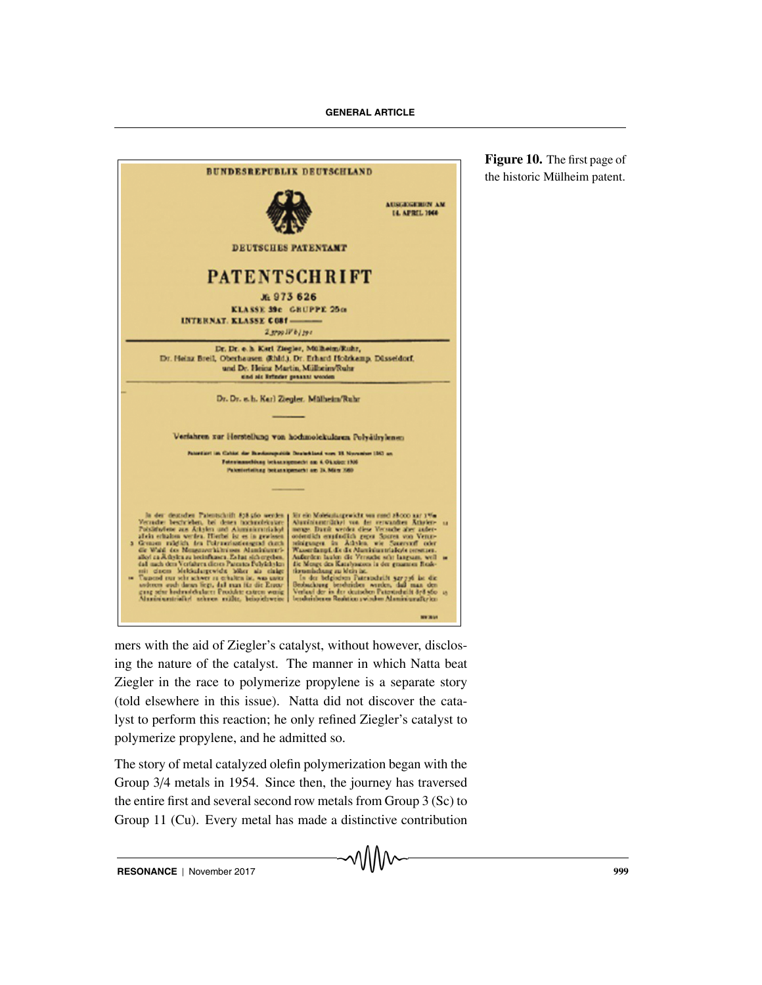

**Figure 10.** The first page of the historic Mülheim patent.

mers with the aid of Ziegler's catalyst, without however, disclosing the nature of the catalyst. The manner in which Natta beat Ziegler in the race to polymerize propylene is a separate story (told elsewhere in this issue). Natta did not discover the catalyst to perform this reaction; he only refined Ziegler's catalyst to polymerize propylene, and he admitted so.

The story of metal catalyzed olefin polymerization began with the Group 3/4 metals in 1954. Since then, the journey has traversed the entire first and several second row metals from Group 3 (Sc) to Group 11 (Cu). Every metal has made a distinctive contribution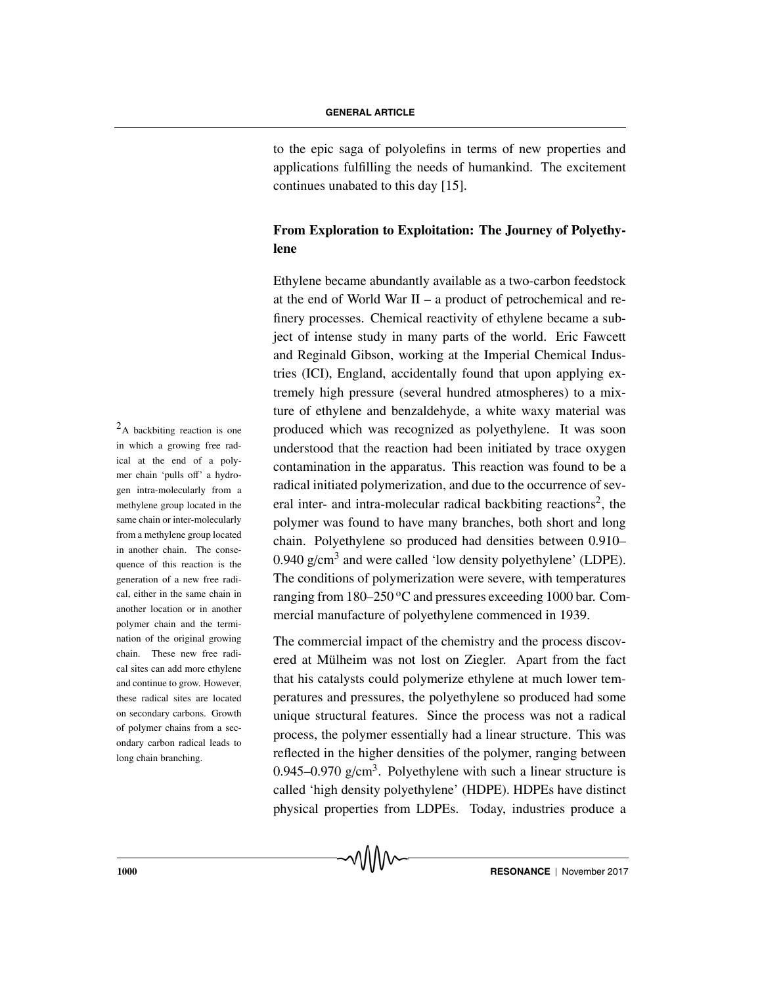to the epic saga of polyolefins in terms of new properties and applications fulfilling the needs of humankind. The excitement continues unabated to this day [15].

## **From Exploration to Exploitation: The Journey of Polyethylene**

Ethylene became abundantly available as a two-carbon feedstock at the end of World War II – a product of petrochemical and refinery processes. Chemical reactivity of ethylene became a subject of intense study in many parts of the world. Eric Fawcett and Reginald Gibson, working at the Imperial Chemical Industries (ICI), England, accidentally found that upon applying extremely high pressure (several hundred atmospheres) to a mixture of ethylene and benzaldehyde, a white waxy material was  $2_A$  backbiting reaction is one produced which was recognized as polyethylene. It was soon understood that the reaction had been initiated by trace oxygen contamination in the apparatus. This reaction was found to be a radical initiated polymerization, and due to the occurrence of several inter- and intra-molecular radical backbiting reactions<sup>2</sup>, the polymer was found to have many branches, both short and long chain. Polyethylene so produced had densities between 0.910– 0.940  $g/cm<sup>3</sup>$  and were called 'low density polyethylene' (LDPE). The conditions of polymerization were severe, with temperatures ranging from 180–250 °C and pressures exceeding 1000 bar. Commercial manufacture of polyethylene commenced in 1939.

> The commercial impact of the chemistry and the process discovered at Mülheim was not lost on Ziegler. Apart from the fact that his catalysts could polymerize ethylene at much lower temperatures and pressures, the polyethylene so produced had some unique structural features. Since the process was not a radical process, the polymer essentially had a linear structure. This was reflected in the higher densities of the polymer, ranging between 0.945–0.970  $g/cm<sup>3</sup>$ . Polyethylene with such a linear structure is called 'high density polyethylene' (HDPE). HDPEs have distinct physical properties from LDPEs. Today, industries produce a

in which a growing free radical at the end of a polymer chain 'pulls off' a hydrogen intra-molecularly from a methylene group located in the same chain or inter-molecularly from a methylene group located in another chain. The consequence of this reaction is the generation of a new free radical, either in the same chain in another location or in another polymer chain and the termination of the original growing chain. These new free radical sites can add more ethylene and continue to grow. However, these radical sites are located on secondary carbons. Growth of polymer chains from a secondary carbon radical leads to long chain branching.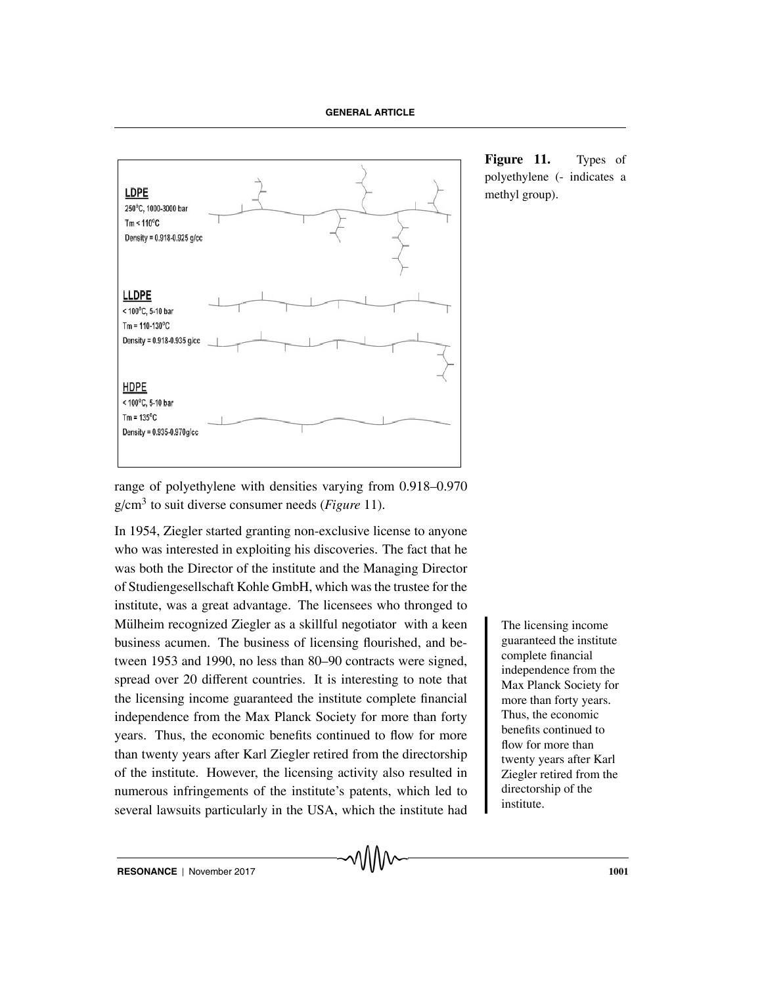

range of polyethylene with densities varying from 0.918–0.970 g/cm3 to suit diverse consumer needs (*Figure* 11).

In 1954, Ziegler started granting non-exclusive license to anyone who was interested in exploiting his discoveries. The fact that he was both the Director of the institute and the Managing Director of Studiengesellschaft Kohle GmbH, which was the trustee for the institute, was a great advantage. The licensees who thronged to Mülheim recognized Ziegler as a skillful negotiator with a keen The licensing income business acumen. The business of licensing flourished, and between 1953 and 1990, no less than 80–90 contracts were signed, spread over 20 different countries. It is interesting to note that the licensing income guaranteed the institute complete financial independence from the Max Planck Society for more than forty years. Thus, the economic benefits continued to flow for more than twenty years after Karl Ziegler retired from the directorship of the institute. However, the licensing activity also resulted in numerous infringements of the institute's patents, which led to several lawsuits particularly in the USA, which the institute had

**Figure 11.** Types of polyethylene (- indicates a methyl group).

> guaranteed the institute complete financial independence from the Max Planck Society for more than forty years. Thus, the economic benefits continued to flow for more than twenty years after Karl Ziegler retired from the directorship of the institute.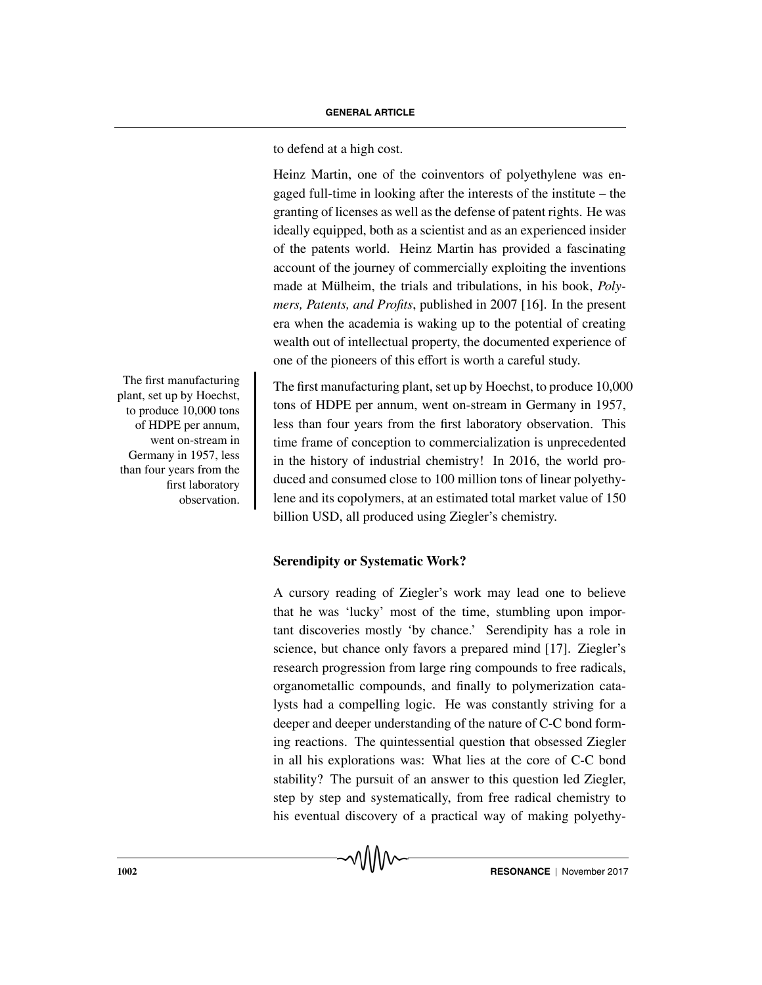to defend at a high cost.

Heinz Martin, one of the coinventors of polyethylene was engaged full-time in looking after the interests of the institute – the granting of licenses as well as the defense of patent rights. He was ideally equipped, both as a scientist and as an experienced insider of the patents world. Heinz Martin has provided a fascinating account of the journey of commercially exploiting the inventions made at Mülheim, the trials and tribulations, in his book, *Polymers, Patents, and Profits*, published in 2007 [16]. In the present era when the academia is waking up to the potential of creating wealth out of intellectual property, the documented experience of one of the pioneers of this effort is worth a careful study.

The first manufacturing plant, set up by Hoechst, to produce 10,000 tons of HDPE per annum, went on-stream in Germany in 1957, less than four years from the first laboratory observation. This time frame of conception to commercialization is unprecedented in the history of industrial chemistry! In 2016, the world produced and consumed close to 100 million tons of linear polyethylene and its copolymers, at an estimated total market value of 150 billion USD, all produced using Ziegler's chemistry.

**Serendipity or Systematic Work?**

A cursory reading of Ziegler's work may lead one to believe that he was 'lucky' most of the time, stumbling upon important discoveries mostly 'by chance.' Serendipity has a role in science, but chance only favors a prepared mind [17]. Ziegler's research progression from large ring compounds to free radicals, organometallic compounds, and finally to polymerization catalysts had a compelling logic. He was constantly striving for a deeper and deeper understanding of the nature of C-C bond forming reactions. The quintessential question that obsessed Ziegler in all his explorations was: What lies at the core of C-C bond stability? The pursuit of an answer to this question led Ziegler, step by step and systematically, from free radical chemistry to his eventual discovery of a practical way of making polyethy-

The first manufacturing plant, set up by Hoechst, to produce 10,000 tons of HDPE per annum, went on-stream in Germany in 1957, less than four years from the first laboratory observation.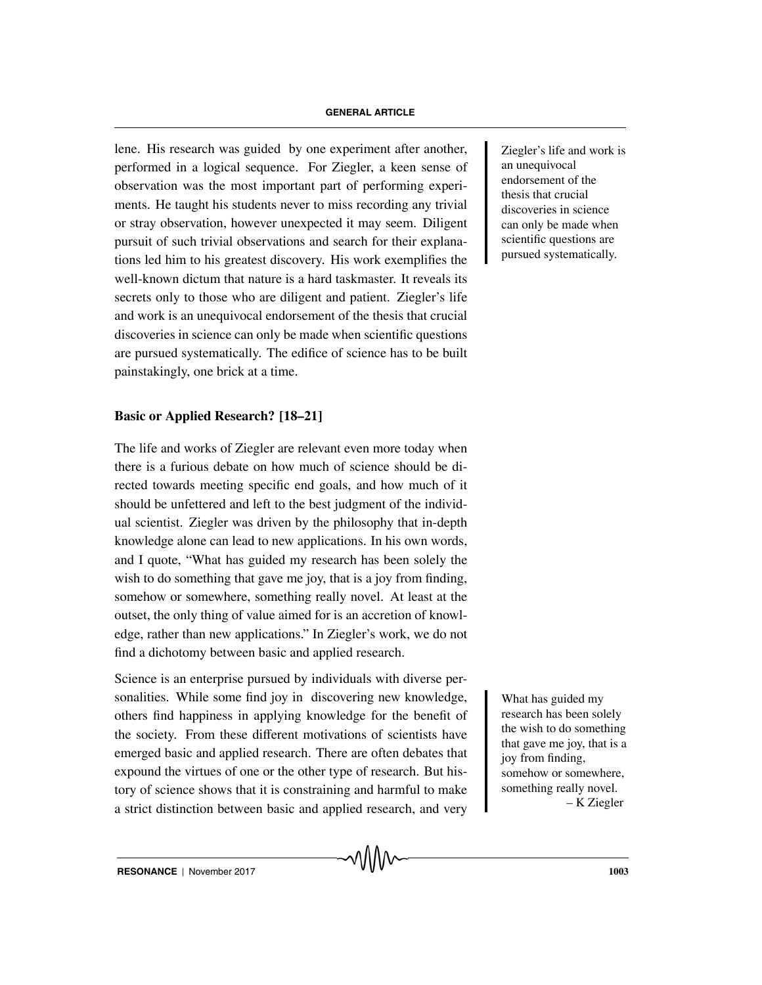lene. His research was guided by one experiment after another, <br> <br> <br> <br> Ziegler's life and work is performed in a logical sequence. For Ziegler, a keen sense of observation was the most important part of performing experiments. He taught his students never to miss recording any trivial or stray observation, however unexpected it may seem. Diligent pursuit of such trivial observations and search for their explanations led him to his greatest discovery. His work exemplifies the well-known dictum that nature is a hard taskmaster. It reveals its secrets only to those who are diligent and patient. Ziegler's life and work is an unequivocal endorsement of the thesis that crucial discoveries in science can only be made when scientific questions are pursued systematically. The edifice of science has to be built painstakingly, one brick at a time.

#### **Basic or Applied Research? [18–21]**

The life and works of Ziegler are relevant even more today when there is a furious debate on how much of science should be directed towards meeting specific end goals, and how much of it should be unfettered and left to the best judgment of the individual scientist. Ziegler was driven by the philosophy that in-depth knowledge alone can lead to new applications. In his own words, and I quote, "What has guided my research has been solely the wish to do something that gave me joy, that is a joy from finding, somehow or somewhere, something really novel. At least at the outset, the only thing of value aimed for is an accretion of knowledge, rather than new applications." In Ziegler's work, we do not find a dichotomy between basic and applied research.

Science is an enterprise pursued by individuals with diverse personalities. While some find joy in discovering new knowledge, What has guided my others find happiness in applying knowledge for the benefit of the society. From these different motivations of scientists have emerged basic and applied research. There are often debates that expound the virtues of one or the other type of research. But history of science shows that it is constraining and harmful to make a strict distinction between basic and applied research, and very

an unequivocal endorsement of the thesis that crucial discoveries in science can only be made when scientific questions are pursued systematically.

research has been solely the wish to do something that gave me joy, that is a joy from finding, somehow or somewhere, something really novel. – K Ziegler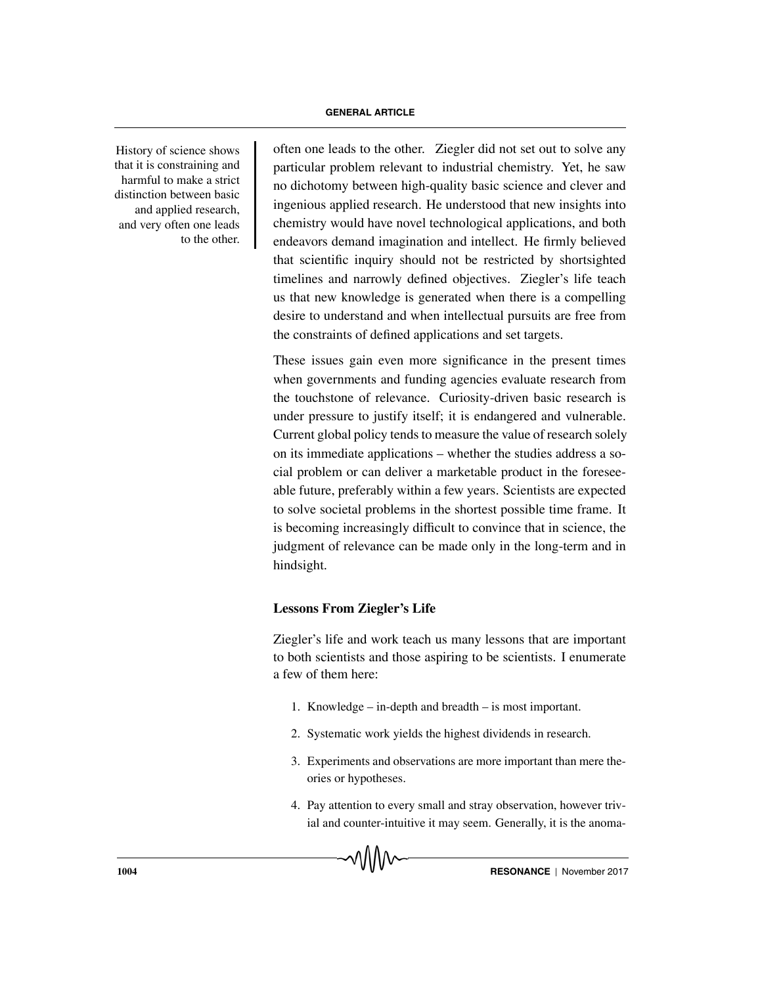that it is constraining and harmful to make a strict distinction between basic and applied research, and very often one leads to the other.

History of science shows often one leads to the other. Ziegler did not set out to solve any particular problem relevant to industrial chemistry. Yet, he saw no dichotomy between high-quality basic science and clever and ingenious applied research. He understood that new insights into chemistry would have novel technological applications, and both endeavors demand imagination and intellect. He firmly believed that scientific inquiry should not be restricted by shortsighted timelines and narrowly defined objectives. Ziegler's life teach us that new knowledge is generated when there is a compelling desire to understand and when intellectual pursuits are free from the constraints of defined applications and set targets.

> These issues gain even more significance in the present times when governments and funding agencies evaluate research from the touchstone of relevance. Curiosity-driven basic research is under pressure to justify itself; it is endangered and vulnerable. Current global policy tends to measure the value of research solely on its immediate applications – whether the studies address a social problem or can deliver a marketable product in the foreseeable future, preferably within a few years. Scientists are expected to solve societal problems in the shortest possible time frame. It is becoming increasingly difficult to convince that in science, the judgment of relevance can be made only in the long-term and in hindsight.

#### **Lessons From Ziegler's Life**

Ziegler's life and work teach us many lessons that are important to both scientists and those aspiring to be scientists. I enumerate a few of them here:

- 1. Knowledge in-depth and breadth is most important.
- 2. Systematic work yields the highest dividends in research.
- 3. Experiments and observations are more important than mere theories or hypotheses.
- 4. Pay attention to every small and stray observation, however trivial and counter-intuitive it may seem. Generally, it is the anoma-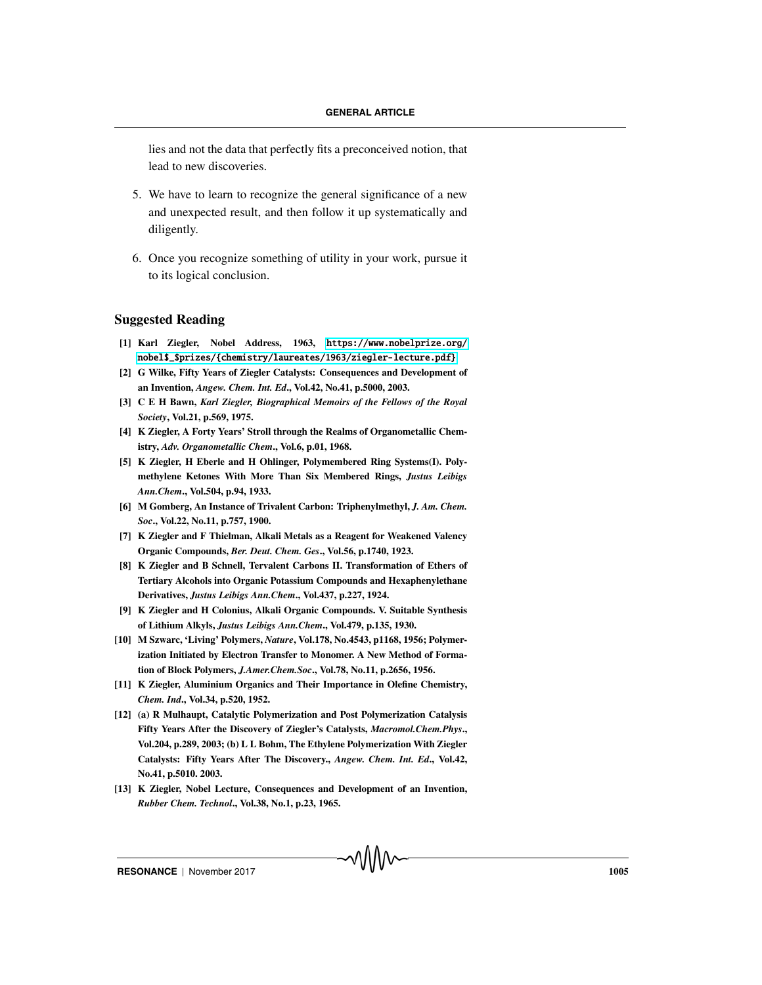lies and not the data that perfectly fits a preconceived notion, that lead to new discoveries.

- 5. We have to learn to recognize the general significance of a new and unexpected result, and then follow it up systematically and diligently.
- 6. Once you recognize something of utility in your work, pursue it to its logical conclusion.

#### **Suggested Reading**

- **[1] Karl Ziegler, Nobel Address, 1963,** <https://www.nobelprize.org/> [nobel\\$\\_\\$prizes/{chemistry/laureates/1963/ziegler-lecture.pdf}](nobel$_$prizes/{chemistry/laureates/ 1963/ziegler-lecture.pdf})
- **[2] G Wilke, Fifty Years of Ziegler Catalysts: Consequences and Development of an Invention,** *Angew. Chem. Int. Ed***., Vol.42, No.41, p.5000, 2003.**
- **[3] C E H Bawn,** *Karl Ziegler, Biographical Memoirs of the Fellows of the Royal Society***, Vol.21, p.569, 1975.**
- **[4] K Ziegler, A Forty Years' Stroll through the Realms of Organometallic Chemistry,** *Adv. Organometallic Chem***., Vol.6, p.01, 1968.**
- **[5] K Ziegler, H Eberle and H Ohlinger, Polymembered Ring Systems(I). Polymethylene Ketones With More Than Six Membered Rings,** *Justus Leibigs Ann.Chem***., Vol.504, p.94, 1933.**
- **[6] M Gomberg, An Instance of Trivalent Carbon: Triphenylmethyl,** *J. Am. Chem. Soc***., Vol.22, No.11, p.757, 1900.**
- **[7] K Ziegler and F Thielman, Alkali Metals as a Reagent for Weakened Valency Organic Compounds,** *Ber. Deut. Chem. Ges***., Vol.56, p.1740, 1923.**
- **[8] K Ziegler and B Schnell, Tervalent Carbons II. Transformation of Ethers of Tertiary Alcohols into Organic Potassium Compounds and Hexaphenylethane Derivatives,** *Justus Leibigs Ann.Chem***., Vol.437, p.227, 1924.**
- **[9] K Ziegler and H Colonius, Alkali Organic Compounds. V. Suitable Synthesis of Lithium Alkyls,** *Justus Leibigs Ann.Chem***., Vol.479, p.135, 1930.**
- **[10] M Szwarc, 'Living' Polymers,** *Nature***, Vol.178, No.4543, p1168, 1956; Polymerization Initiated by Electron Transfer to Monomer. A New Method of Formation of Block Polymers,** *J.Amer.Chem.Soc***., Vol.78, No.11, p.2656, 1956.**
- **[11] K Ziegler, Aluminium Organics and Their Importance in Olefine Chemistry,** *Chem. Ind***., Vol.34, p.520, 1952.**
- **[12] (a) R Mulhaupt, Catalytic Polymerization and Post Polymerization Catalysis Fifty Years After the Discovery of Ziegler's Catalysts,** *Macromol.Chem.Phys***., Vol.204, p.289, 2003; (b) L L Bohm, The Ethylene Polymerization With Ziegler Catalysts: Fifty Years After The Discovery.,** *Angew. Chem. Int. Ed***., Vol.42, No.41, p.5010. 2003.**
- **[13] K Ziegler, Nobel Lecture, Consequences and Development of an Invention,** *Rubber Chem. Technol***., Vol.38, No.1, p.23, 1965.**